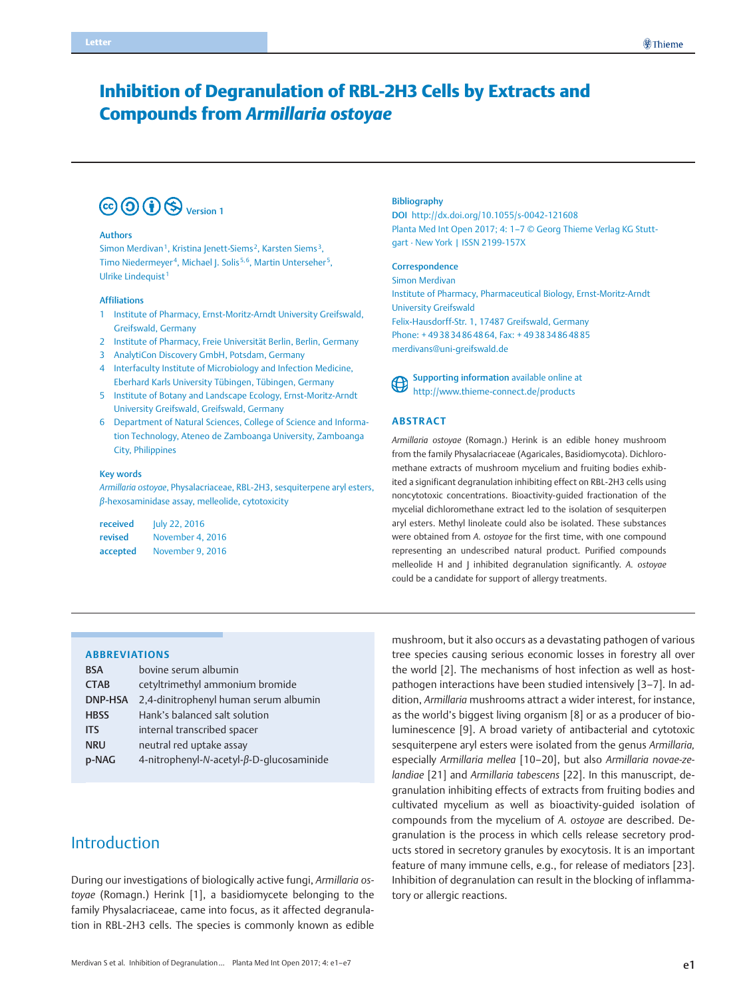# Inhibition of Degranulation of RBL-2H3 Cells by Extracts and Compounds from Armillaria ostoyae



#### Authors

Simon Merdivan<sup>1</sup>, Kristina Jenett-Siems<sup>2</sup>, Karsten Siems<sup>3</sup>, Timo Niedermeyer<sup>4</sup>, Michael J. Solis<sup>5,6</sup>, Martin Unterseher<sup>5</sup>, Ulrike Lindequist<sup>1</sup>

#### Affiliations

- 1 Institute of Pharmacy, Ernst-Moritz-Arndt University Greifswald, Greifswald, Germany
- 2 Institute of Pharmacy, Freie Universität Berlin, Berlin, Germany
- 3 AnalytiCon Discovery GmbH, Potsdam, Germany
- 4 Interfaculty Institute of Microbiology and Infection Medicine, Eberhard Karls University Tübingen, Tübingen, Germany
- 5 Institute of Botany and Landscape Ecology, Ernst-Moritz-Arndt University Greifswald, Greifswald, Germany
- 6 Department of Natural Sciences, College of Science and Information Technology, Ateneo de Zamboanga University, Zamboanga City, Philippines

#### Key words

Armillaria ostoyae, Physalacriaceae, RBL‑2H3, sesquiterpene aryl esters, β‑hexosaminidase assay, melleolide, cytotoxicity

| received | July 22, 2016    |  |  |
|----------|------------------|--|--|
| revised  | November 4, 2016 |  |  |
| accepted | November 9, 2016 |  |  |

#### Bibliography

DOI http://dx.doi.org/10.1055/s-0042-121608 Planta Med Int Open 2017; 4: 1–7 © Georg Thieme Verlag KG Stuttgart · New York | ISSN 2199-157X

### **Correspondence**

Simon Merdivan

Institute of Pharmacy, Pharmaceutical Biology, Ernst-Moritz-Arndt University Greifswald Felix-Hausdorff-Str. 1, 17487 Greifswald, Germany Phone: + 49 38 34 86 48 64, Fax: + 49 38 34 86 48 85 merdivans@uni-greifswald.de



Supporting information available online at http://www.thieme-connect.de/products

### ABSTRACT

Armillaria ostoyae (Romagn.) Herink is an edible honey mushroom from the family Physalacriaceae (Agaricales, Basidiomycota). Dichloromethane extracts of mushroom mycelium and fruiting bodies exhibited a significant degranulation inhibiting effect on RBL-2H3 cells using noncytotoxic concentrations. Bioactivity-guided fractionation of the mycelial dichloromethane extract led to the isolation of sesquiterpen aryl esters. Methyl linoleate could also be isolated. These substances were obtained from A. ostoyae for the first time, with one compound representing an undescribed natural product. Purified compounds melleolide H and J inhibited degranulation significantly. A. ostoyae could be a candidate for support of allergy treatments.

### ABBREVIATIONS

| <b>BSA</b>     | bovine serum albumin                     |  |  |
|----------------|------------------------------------------|--|--|
| <b>CTAB</b>    | cetyltrimethyl ammonium bromide          |  |  |
| <b>DNP-HSA</b> | 2,4-dinitrophenyl human serum albumin    |  |  |
| <b>HBSS</b>    | Hank's balanced salt solution            |  |  |
| <b>ITS</b>     | internal transcribed spacer              |  |  |
| <b>NRU</b>     | neutral red uptake assay                 |  |  |
| p-NAG          | 4-nitrophenyl-N-acetyl-β-D-qlucosaminide |  |  |

# Introduction

During our investigations of biologically active fungi, Armillaria ostoyae (Romagn.) Herink [1], a basidiomycete belonging to the family Physalacriaceae, came into focus, as it affected degranulation in RBL-2H3 cells. The species is commonly known as edible mushroom, but it also occurs as a devastating pathogen of various tree species causing serious economic losses in forestry all over the world [2]. The mechanisms of host infection as well as hostpathogen interactions have been studied intensively [3–7]. In addition, Armillaria mushrooms attract a wider interest, for instance, as the world's biggest living organism [8] or as a producer of bioluminescence [9]. A broad variety of antibacterial and cytotoxic sesquiterpene aryl esters were isolated from the genus Armillaria, especially Armillaria mellea [10–20], but also Armillaria novae-zelandiae [21] and Armillaria tabescens [22]. In this manuscript, degranulation inhibiting effects of extracts from fruiting bodies and cultivated mycelium as well as bioactivity-guided isolation of compounds from the mycelium of A. ostoyae are described. Degranulation is the process in which cells release secretory products stored in secretory granules by exocytosis. It is an important feature of many immune cells, e.g., for release of mediators [23]. Inhibition of degranulation can result in the blocking of inflammatory or allergic reactions.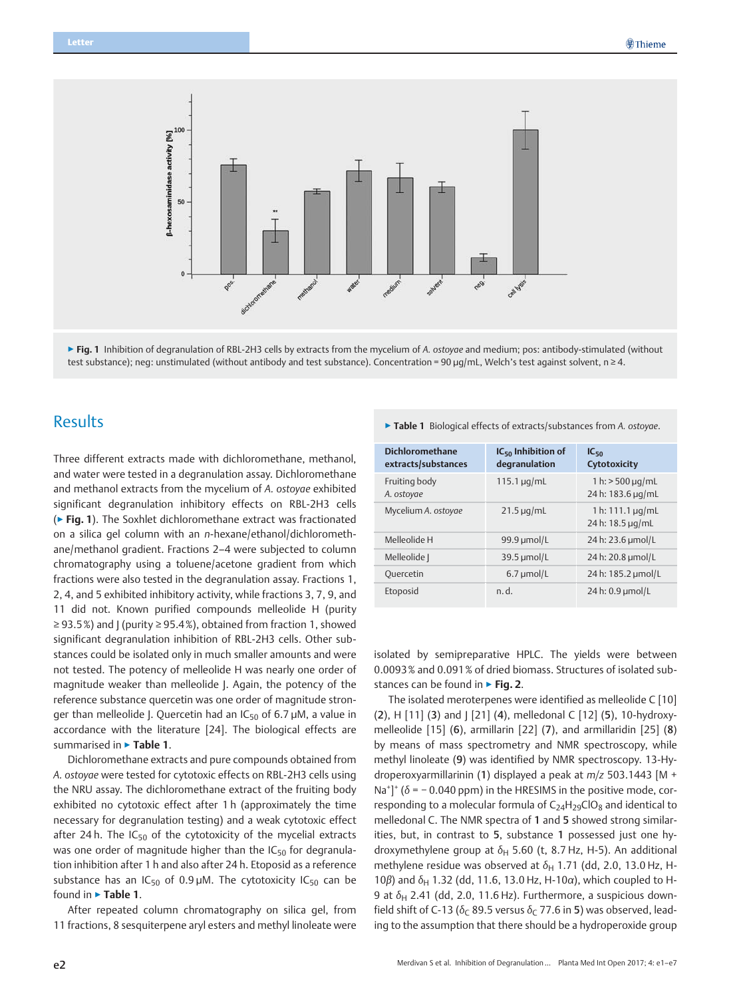



# **Results**

Three different extracts made with dichloromethane, methanol, and water were tested in a degranulation assay. Dichloromethane and methanol extracts from the mycelium of A. ostoyae exhibited significant degranulation inhibitory effects on RBL-2H3 cells (▶ Fig. 1). The Soxhlet dichloromethane extract was fractionated on a silica gel column with an n-hexane/ethanol/dichloromethane/methanol gradient. Fractions 2–4 were subjected to column chromatography using a toluene/acetone gradient from which fractions were also tested in the degranulation assay. Fractions 1, 2, 4, and 5 exhibited inhibitory activity, while fractions 3, 7, 9, and 11 did not. Known purified compounds melleolide H (purity  $\geq$  93.5%) and J (purity  $\geq$  95.4%), obtained from fraction 1, showed significant degranulation inhibition of RBL-2H3 cells. Other substances could be isolated only in much smaller amounts and were not tested. The potency of melleolide H was nearly one order of magnitude weaker than melleolide J. Again, the potency of the reference substance quercetin was one order of magnitude stronger than melleolide J. Quercetin had an  $IC_{50}$  of 6.7 µM, a value in accordance with the literature [24]. The biological effects are summarised in ► Table 1.

Dichloromethane extracts and pure compounds obtained from A. ostoyae were tested for cytotoxic effects on RBL-2H3 cells using the NRU assay. The dichloromethane extract of the fruiting body exhibited no cytotoxic effect after 1 h (approximately the time necessary for degranulation testing) and a weak cytotoxic effect after 24 h. The  $IC_{50}$  of the cytotoxicity of the mycelial extracts was one order of magnitude higher than the  $IC_{50}$  for degranulation inhibition after 1 h and also after 24 h. Etoposid as a reference substance has an  $IC_{50}$  of 0.9 µM. The cytotoxicity  $IC_{50}$  can be found in ► Table 1.

After repeated column chromatography on silica gel, from 11 fractions, 8 sesquiterpene aryl esters and methyl linoleate were

### ▶ Table 1 Biological effects of extracts/substances from A. ostoyae.

| <b>Dichloromethane</b><br>extracts/substances | $IC_{50}$ Inhibition of<br>degranulation | $IC_{50}$<br><b>Cytotoxicity</b>            |
|-----------------------------------------------|------------------------------------------|---------------------------------------------|
| Fruiting body<br>A. ostovae                   | $115.1 \,\mu g/mL$                       | $1 h$ : > 500 µg/mL<br>24 h: 183.6 µg/mL    |
| Mycelium A. ostoyae                           | $21.5 \mu q/mL$                          | 1 h: $111.1 \,\mu g/mL$<br>24 h: 18.5 µg/mL |
| Melleolide H                                  | 99.9 $\mu$ mol/L                         | 24 h: 23.6 µmol/L                           |
| Melleolide                                    | $39.5 \mu$ mol/L                         | 24 h: 20.8 µmol/L                           |
| Quercetin                                     | $6.7 \mu$ mol/L                          | 24 h: 185.2 µmol/L                          |
| Etoposid                                      | n.d.                                     | 24 h: 0.9 µmol/L                            |

isolated by semipreparative HPLC. The yields were between 0.0093% and 0.091% of dried biomass. Structures of isolated substances can be found in ► Fig. 2.

The isolated meroterpenes were identified as melleolide C [10] (2), H [11] (3) and J [21] (4), melledonal C [12] (5), 10-hydroxymelleolide [15] (6), armillarin [22] (7), and armillaridin [25] (8) by means of mass spectrometry and NMR spectroscopy, while methyl linoleate (9) was identified by NMR spectroscopy. 13-Hydroperoxyarmillarinin (1) displayed a peak at m/z 503.1443 [M + Na<sup>+</sup>]<sup>+</sup> ( $\delta$  = -0.040 ppm) in the HRESIMS in the positive mode, corresponding to a molecular formula of  $C_{24}H_{29}ClO_8$  and identical to melledonal C. The NMR spectra of 1 and 5 showed strong similarities, but, in contrast to 5, substance 1 possessed just one hydroxymethylene group at  $\delta_H$  5.60 (t, 8.7 Hz, H-5). An additional methylene residue was observed at  $\delta_H$  1.71 (dd, 2.0, 13.0 Hz, H-10β) and  $δ$ <sub>H</sub> 1.32 (dd, 11.6, 13.0 Hz, H-10α), which coupled to H-9 at  $\delta_H$  2.41 (dd, 2.0, 11.6 Hz). Furthermore, a suspicious downfield shift of C-13 ( $\delta_C$  89.5 versus  $\delta_C$  77.6 in 5) was observed, leading to the assumption that there should be a hydroperoxide group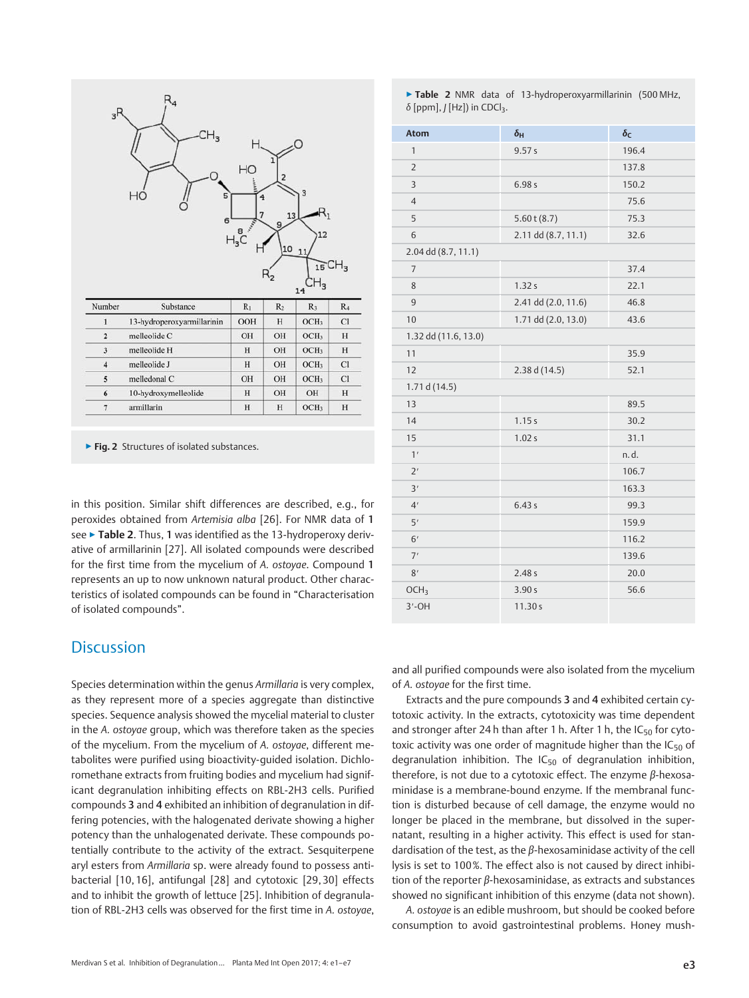|                         | $CH_{3}$<br>НĊ<br>5<br>6   | HO<br>$H_{3}C^{\frac{1}{2}}$ | 1<br>2<br>13<br>9 | 3<br>12                          |                |
|-------------------------|----------------------------|------------------------------|-------------------|----------------------------------|----------------|
|                         |                            |                              | 10<br>$H_2$       | 11<br>15CH <sub>3</sub>          |                |
| Number                  | Substance                  | $R_1$                        | R <sub>2</sub>    | $_{14}$ CH <sub>3</sub><br>$R_3$ | R <sub>4</sub> |
| $\mathbf{1}$            | 13-hydroperoxyarmillarinin | OOH                          | H                 | OCH <sub>3</sub>                 | <b>C1</b>      |
| $\overline{2}$          | melleolide C               | OH                           | OH                | OCH <sub>3</sub>                 |                |
| 3                       | melleolide H               | H                            | OH                | OCH <sub>3</sub>                 |                |
| $\overline{\mathbf{4}}$ | melleolide J               | H                            | OH                | OCH <sub>3</sub>                 | H<br>H<br>Cl   |
| 5                       | melledonal C               | OH                           | OH                | OCH <sub>3</sub>                 |                |
| 6                       | 10-hydroxymelleolide       | H                            | OH                | OH                               | Cl<br>H        |

▶ Fig. 2 Structures of isolated substances.

in this position. Similar shift differences are described, e.g., for peroxides obtained from Artemisia alba [26]. For NMR data of 1 see ► Table 2. Thus, 1 was identified as the 13-hydroperoxy derivative of armillarinin [27]. All isolated compounds were described for the first time from the mycelium of A. ostoyae. Compound 1 represents an up to now unknown natural product. Other characteristics of isolated compounds can be found in "Characterisation of isolated compounds".

# **Discussion**

Species determination within the genus Armillaria is very complex, as they represent more of a species aggregate than distinctive species. Sequence analysis showed the mycelial material to cluster in the A. ostoyae group, which was therefore taken as the species of the mycelium. From the mycelium of A. ostoyae, different metabolites were purified using bioactivity-guided isolation. Dichloromethane extracts from fruiting bodies and mycelium had significant degranulation inhibiting effects on RBL-2H3 cells. Purified compounds 3 and 4 exhibited an inhibition of degranulation in differing potencies, with the halogenated derivate showing a higher potency than the unhalogenated derivate. These compounds potentially contribute to the activity of the extract. Sesquiterpene aryl esters from Armillaria sp. were already found to possess antibacterial [10, 16], antifungal [28] and cytotoxic [29, 30] effects and to inhibit the growth of lettuce [25]. Inhibition of degranulation of RBL-2H3 cells was observed for the first time in A. ostoyae,

▶ Table 2 NMR data of 13-hydroperoxyarmillarinin (500 MHz, δ [ppm],  $J$  [Hz]) in CDCl<sub>3</sub>.

| Atom                 | $\delta_{\mathsf{H}}$ | $\delta_{\sf C}$ |
|----------------------|-----------------------|------------------|
| $\mathbf{1}$         | 9.57 s                | 196.4            |
| $\overline{2}$       |                       | 137.8            |
| 3                    | 6.98s                 | 150.2            |
| $\overline{4}$       |                       | 75.6             |
| 5                    | $5.60$ t $(8.7)$      | 75.3             |
| 6                    | 2.11 dd (8.7, 11.1)   | 32.6             |
| 2.04 dd (8.7, 11.1)  |                       |                  |
| $\overline{7}$       |                       | 37.4             |
| 8                    | 1.32s                 | 22.1             |
| $\overline{9}$       | 2.41 dd (2.0, 11.6)   | 46.8             |
| 10                   | 1.71 dd (2.0, 13.0)   | 43.6             |
| 1.32 dd (11.6, 13.0) |                       |                  |
| 11                   |                       | 35.9             |
| 12                   | 2.38 d (14.5)         | 52.1             |
| 1.71 d $(14.5)$      |                       |                  |
| 13                   |                       | 89.5             |
| 14                   | 1.15s                 | 30.2             |
| 15                   | 1.02 s                | 31.1             |
| 1'                   |                       | n.d.             |
| 2'                   |                       | 106.7            |
| 3'                   |                       | 163.3            |
| 4'                   | 6.43s                 | 99.3             |
| 5'                   |                       | 159.9            |
| 6'                   |                       | 116.2            |
| 7'                   |                       | 139.6            |
| 8'                   | 2.48 s                | 20.0             |
| OCH <sub>3</sub>     | 3.90 s                | 56.6             |
| $3'$ -OH             | 11.30 s               |                  |

and all purified compounds were also isolated from the mycelium of A. ostoyae for the first time.

Extracts and the pure compounds 3 and 4 exhibited certain cytotoxic activity. In the extracts, cytotoxicity was time dependent and stronger after 24 h than after 1 h. After 1 h, the  $IC_{50}$  for cytotoxic activity was one order of magnitude higher than the  $IC_{50}$  of degranulation inhibition. The  $IC_{50}$  of degranulation inhibition, therefore, is not due to a cytotoxic effect. The enzyme β-hexosaminidase is a membrane-bound enzyme. If the membranal function is disturbed because of cell damage, the enzyme would no longer be placed in the membrane, but dissolved in the supernatant, resulting in a higher activity. This effect is used for standardisation of the test, as the  $\beta$ -hexosaminidase activity of the cell lysis is set to 100%. The effect also is not caused by direct inhibition of the reporter  $β$ -hexosaminidase, as extracts and substances showed no significant inhibition of this enzyme (data not shown).

A. ostoyae is an edible mushroom, but should be cooked before consumption to avoid gastrointestinal problems. Honey mush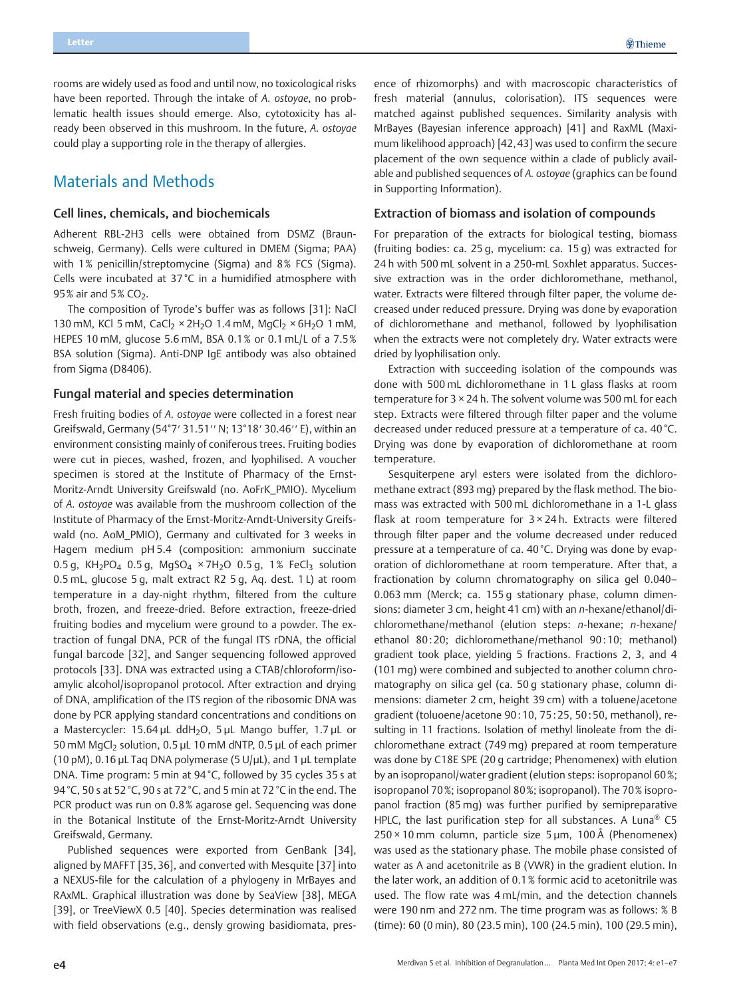rooms are widely used as food and until now, no toxicological risks have been reported. Through the intake of A. ostoyae, no problematic health issues should emerge. Also, cytotoxicity has already been observed in this mushroom. In the future, A. ostoyae could play a supporting role in the therapy of allergies.

# Materials and Methods

## Cell lines, chemicals, and biochemicals

Adherent RBL-2H3 cells were obtained from DSMZ (Braunschweig, Germany). Cells were cultured in DMEM (Sigma; PAA) with 1% penicillin/streptomycine (Sigma) and 8% FCS (Sigma). Cells were incubated at 37 °C in a humidified atmosphere with  $95%$  air and  $5%$  CO<sub>2</sub>.

The composition of Tyrode's buffer was as follows [31]: NaCl 130 mM, KCl 5 mM, CaCl<sub>2</sub>  $\times$  2H<sub>2</sub>O 1.4 mM, MgCl<sub>2</sub>  $\times$  6H<sub>2</sub>O 1 mM, HEPES 10 mM, glucose 5.6 mM, BSA 0.1% or 0.1 mL/L of a 7.5% BSA solution (Sigma). Anti-DNP IgE antibody was also obtained from Sigma (D8406).

## Fungal material and species determination

Fresh fruiting bodies of A. ostoyae were collected in a forest near Greifswald, Germany (54°7′ 31.51′′ N; 13°18′ 30.46′′ E), within an environment consisting mainly of coniferous trees. Fruiting bodies were cut in pieces, washed, frozen, and lyophilised. A voucher specimen is stored at the Institute of Pharmacy of the Ernst-Moritz-Arndt University Greifswald (no. AoFrK\_PMIO). Mycelium of A. ostoyae was available from the mushroom collection of the Institute of Pharmacy of the Ernst-Moritz-Arndt-University Greifswald (no. AoM\_PMIO), Germany and cultivated for 3 weeks in Hagem medium pH 5.4 (composition: ammonium succinate 0.5 g, KH<sub>2</sub>PO<sub>4</sub> 0.5 g, MgSO<sub>4</sub>  $\times$  7H<sub>2</sub>O 0.5 g, 1% FeCl<sub>3</sub> solution 0.5 mL, glucose 5 g, malt extract R2 5 g, Aq. dest. 1 L) at room temperature in a day-night rhythm, filtered from the culture broth, frozen, and freeze-dried. Before extraction, freeze-dried fruiting bodies and mycelium were ground to a powder. The extraction of fungal DNA, PCR of the fungal ITS rDNA, the official fungal barcode [32], and Sanger sequencing followed approved protocols [33]. DNA was extracted using a CTAB/chloroform/isoamylic alcohol/isopropanol protocol. After extraction and drying of DNA, amplification of the ITS region of the ribosomic DNA was done by PCR applying standard concentrations and conditions on a Mastercycler:  $15.64 \,\mu\text{L}$  ddH<sub>2</sub>O,  $5 \,\mu\text{L}$  Mango buffer,  $1.7 \,\mu\text{L}$  or 50 mM MgCl<sub>2</sub> solution, 0.5 µL 10 mM dNTP, 0.5 µL of each primer (10 pM), 0.16 µL Taq DNA polymerase (5 U/µL), and 1 µL template DNA. Time program: 5 min at 94 °C, followed by 35 cycles 35 s at 94 °C, 50 s at 52 °C, 90 s at 72 °C, and 5 min at 72 °C in the end. The PCR product was run on 0.8% agarose gel. Sequencing was done in the Botanical Institute of the Ernst-Moritz-Arndt University Greifswald, Germany.

Published sequences were exported from GenBank [34], aligned by MAFFT [35, 36], and converted with Mesquite [37] into a NEXUS-file for the calculation of a phylogeny in MrBayes and RAxML. Graphical illustration was done by SeaView [38], MEGA [39], or TreeViewX 0.5 [40]. Species determination was realised with field observations (e.g., densly growing basidiomata, pres-

ence of rhizomorphs) and with macroscopic characteristics of fresh material (annulus, colorisation). ITS sequences were matched against published sequences. Similarity analysis with MrBayes (Bayesian inference approach) [41] and RaxML (Maximum likelihood approach) [42, 43] was used to confirm the secure placement of the own sequence within a clade of publicly available and published sequences of A. ostoyae (graphics can be found in Supporting Information).

## Extraction of biomass and isolation of compounds

For preparation of the extracts for biological testing, biomass (fruiting bodies: ca. 25 g, mycelium: ca. 15 g) was extracted for 24 h with 500 mL solvent in a 250-mL Soxhlet apparatus. Successive extraction was in the order dichloromethane, methanol, water. Extracts were filtered through filter paper, the volume decreased under reduced pressure. Drying was done by evaporation of dichloromethane and methanol, followed by lyophilisation when the extracts were not completely dry. Water extracts were dried by lyophilisation only.

Extraction with succeeding isolation of the compounds was done with 500 mL dichloromethane in 1 L glass flasks at room temperature for 3 × 24 h. The solvent volume was 500 mL for each step. Extracts were filtered through filter paper and the volume decreased under reduced pressure at a temperature of ca. 40 °C. Drying was done by evaporation of dichloromethane at room temperature.

Sesquiterpene aryl esters were isolated from the dichloromethane extract (893 mg) prepared by the flask method. The biomass was extracted with 500 mL dichloromethane in a 1-L glass flask at room temperature for 3 × 24 h. Extracts were filtered through filter paper and the volume decreased under reduced pressure at a temperature of ca. 40 °C. Drying was done by evaporation of dichloromethane at room temperature. After that, a fractionation by column chromatography on silica gel 0.040– 0.063 mm (Merck; ca. 155 g stationary phase, column dimensions: diameter 3 cm, height 41 cm) with an n-hexane/ethanol/dichloromethane/methanol (elution steps: n-hexane; n-hexane/ ethanol 80:20; dichloromethane/methanol 90:10; methanol) gradient took place, yielding 5 fractions. Fractions 2, 3, and 4 (101 mg) were combined and subjected to another column chromatography on silica gel (ca. 50 g stationary phase, column dimensions: diameter 2 cm, height 39 cm) with a toluene/acetone gradient (toluoene/acetone 90 : 10, 75: 25, 50 : 50, methanol), resulting in 11 fractions. Isolation of methyl linoleate from the dichloromethane extract (749 mg) prepared at room temperature was done by C18E SPE (20 g cartridge; Phenomenex) with elution by an isopropanol/water gradient (elution steps: isopropanol 60%; isopropanol 70%; isopropanol 80%; isopropanol). The 70% isopropanol fraction (85 mg) was further purified by semipreparative HPLC, the last purification step for all substances. A Luna® C5  $250 \times 10$  mm column, particle size 5 µm, 100 Å (Phenomenex) was used as the stationary phase. The mobile phase consisted of water as A and acetonitrile as B (VWR) in the gradient elution. In the later work, an addition of 0.1% formic acid to acetonitrile was used. The flow rate was 4 mL/min, and the detection channels were 190 nm and 272 nm. The time program was as follows: % B (time): 60 (0 min), 80 (23.5 min), 100 (24.5 min), 100 (29.5 min),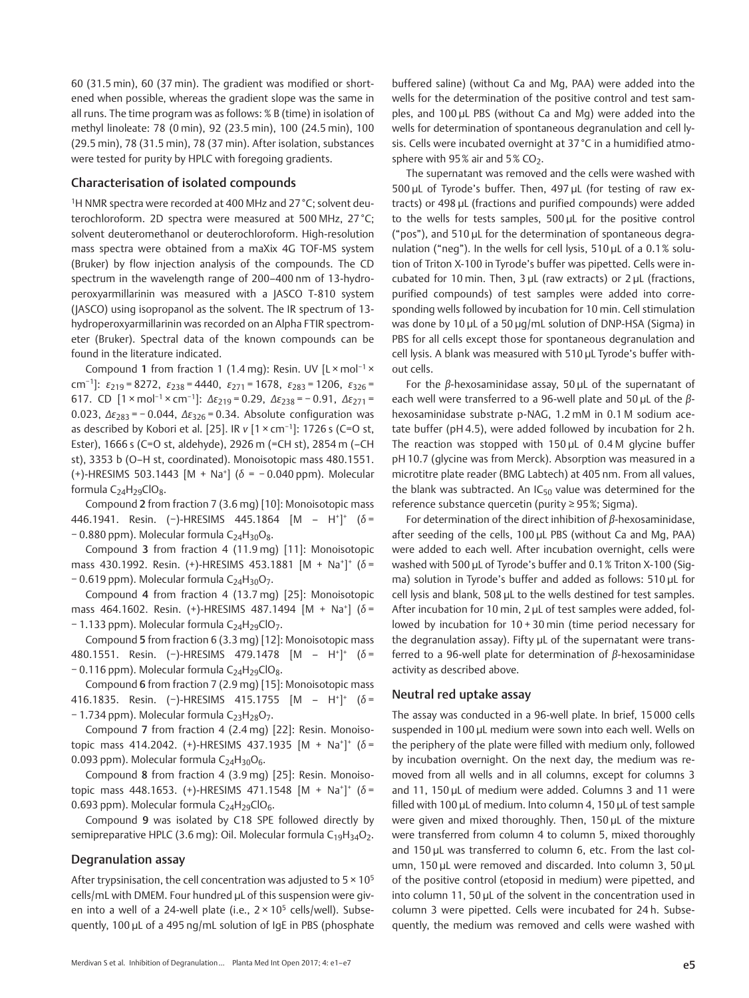60 (31.5 min), 60 (37 min). The gradient was modified or shortened when possible, whereas the gradient slope was the same in all runs. The time program was as follows: % B (time) in isolation of methyl linoleate: 78 (0 min), 92 (23.5 min), 100 (24.5 min), 100 (29.5 min), 78 (31.5 min), 78 (37 min). After isolation, substances were tested for purity by HPLC with foregoing gradients.

## Characterisation of isolated compounds

<sup>1</sup>H NMR spectra were recorded at 400 MHz and 27 °C; solvent deuterochloroform. 2D spectra were measured at 500 MHz, 27 °C; solvent deuteromethanol or deuterochloroform. High-resolution mass spectra were obtained from a maXix 4G TOF‑MS system (Bruker) by flow injection analysis of the compounds. The CD spectrum in the wavelength range of 200–400 nm of 13-hydroperoxyarmillarinin was measured with a JASCO T-810 system (JASCO) using isopropanol as the solvent. The IR spectrum of 13 hydroperoxyarmillarinin was recorded on an Alpha FTIR spectrometer (Bruker). Spectral data of the known compounds can be found in the literature indicated.

Compound 1 from fraction 1 (1.4 mg): Resin. UV [L × mol<sup>-1</sup> × cm<sup>-1</sup>]:  $\varepsilon_{219}$  = 8272,  $\varepsilon_{238}$  = 4440,  $\varepsilon_{271}$  = 1678,  $\varepsilon_{283}$  = 1206,  $\varepsilon_{326}$  = 617. CD  $[1 \times \text{mol}^{-1} \times \text{cm}^{-1}]$ :  $\Delta \varepsilon_{219} = 0.29$ ,  $\Delta \varepsilon_{238} = -0.91$ ,  $\Delta \varepsilon_{271} =$ 0.023,  $\Delta \epsilon_{283}$  = -0.044,  $\Delta \epsilon_{326}$  = 0.34. Absolute configuration was as described by Kobori et al. [25]. IR ν [1 × cm<sup>-1</sup>]: 1726 s (C=O st, Ester), 1666 s (C=O st, aldehyde), 2926 m (=CH st), 2854 m (–CH st), 3353 b (O–H st, coordinated). Monoisotopic mass 480.1551. (+)-HRESIMS 503.1443 [M + Na+] (δ = − 0.040 ppm). Molecular formula C<sub>24</sub>H<sub>29</sub>ClO<sub>8</sub>.

Compound 2 from fraction 7 (3.6 mg) [10]: Monoisotopic mass 446.1941. Resin. (−)-HRESIMS 445.1864 [M – H+] <sup>+</sup> (δ = − 0.880 ppm). Molecular formula C<sub>24</sub>H<sub>30</sub>O<sub>8</sub>.

Compound 3 from fraction 4 (11.9 mg) [11]: Monoisotopic mass 430.1992. Resin. (+)-HRESIMS 453.1881 [M + Na+]+ (δ = − 0.619 ppm). Molecular formula C<sub>24</sub>H<sub>30</sub>O<sub>7</sub>.

Compound 4 from fraction 4 (13.7 mg) [25]: Monoisotopic mass 464.1602. Resin. (+)-HRESIMS 487.1494  $[M + Na<sup>+</sup>]$  (δ = − 1.133 ppm). Molecular formula C24H29ClO7.

Compound 5 from fraction 6 (3.3 mg) [12]: Monoisotopic mass 480.1551. Resin. (−)-HRESIMS 479.1478 [M – H+] <sup>+</sup> (δ = − 0.116 ppm). Molecular formula C<sub>24</sub>H<sub>29</sub>ClO<sub>8</sub>.

Compound 6 from fraction 7 (2.9 mg) [15]: Monoisotopic mass 416.1835. Resin. (−)-HRESIMS 415.1755 [M – H+] <sup>+</sup> (δ = − 1.734 ppm). Molecular formula C<sub>23</sub>H<sub>28</sub>O<sub>7</sub>.

Compound 7 from fraction 4 (2.4 mg) [22]: Resin. Monoisotopic mass 414.2042. (+)-HRESIMS 437.1935  $[M + Na<sup>+</sup>]$ <sup>+</sup> (δ = 0.093 ppm). Molecular formula  $C_{24}H_{30}O_6$ .

Compound 8 from fraction 4 (3.9 mg) [25]: Resin. Monoisotopic mass 448.1653. (+)-HRESIMS 471.1548  $[M + Na^{+}]^{+}$  (δ = 0.693 ppm). Molecular formula  $C_{24}H_{29}ClO_6$ .

Compound 9 was isolated by C18 SPE followed directly by semipreparative HPLC (3.6 mg): Oil. Molecular formula  $C_{19}H_{34}O_2$ .

## Degranulation assay

After trypsinisation, the cell concentration was adjusted to  $5 \times 10^5$ cells/mL with DMEM. Four hundred µL of this suspension were given into a well of a 24-well plate (i.e.,  $2 \times 10^5$  cells/well). Subsequently, 100 µL of a 495 ng/mL solution of IgE in PBS (phosphate buffered saline) (without Ca and Mg, PAA) were added into the wells for the determination of the positive control and test samples, and 100 µL PBS (without Ca and Mg) were added into the wells for determination of spontaneous degranulation and cell lysis. Cells were incubated overnight at 37 °C in a humidified atmosphere with  $95\%$  air and  $5\%$  CO<sub>2</sub>.

The supernatant was removed and the cells were washed with 500 µL of Tyrode's buffer. Then, 497 µL (for testing of raw extracts) or 498 µL (fractions and purified compounds) were added to the wells for tests samples, 500 µL for the positive control ("pos"), and 510 µL for the determination of spontaneous degranulation ("neg"). In the wells for cell lysis, 510 µL of a 0.1% solution of Triton X-100 in Tyrode's buffer was pipetted. Cells were incubated for 10 min. Then, 3 µL (raw extracts) or 2 µL (fractions, purified compounds) of test samples were added into corresponding wells followed by incubation for 10 min. Cell stimulation was done by 10 µL of a 50 µg/mL solution of DNP-HSA (Sigma) in PBS for all cells except those for spontaneous degranulation and cell lysis. A blank was measured with 510 µL Tyrode's buffer without cells.

For the  $\beta$ -hexosaminidase assay, 50  $\mu$ L of the supernatant of each well were transferred to a 96-well plate and 50 µL of the βhexosaminidase substrate p-NAG, 1.2 mM in 0.1 M sodium acetate buffer (pH 4.5), were added followed by incubation for 2 h. The reaction was stopped with  $150 \mu$ L of  $0.4 M$  glycine buffer pH 10.7 (glycine was from Merck). Absorption was measured in a microtitre plate reader (BMG Labtech) at 405 nm. From all values, the blank was subtracted. An  $IC_{50}$  value was determined for the reference substance quercetin (purity ≥ 95%; Sigma).

For determination of the direct inhibition of  $\beta$ -hexosaminidase, after seeding of the cells, 100 µL PBS (without Ca and Mg, PAA) were added to each well. After incubation overnight, cells were washed with 500 µL of Tyrode's buffer and 0.1% Triton X-100 (Sigma) solution in Tyrode's buffer and added as follows: 510 µL for cell lysis and blank, 508 µL to the wells destined for test samples. After incubation for 10 min, 2 µL of test samples were added, followed by incubation for 10 + 30 min (time period necessary for the degranulation assay). Fifty µL of the supernatant were transferred to a 96-well plate for determination of β-hexosaminidase activity as described above.

## Neutral red uptake assay

The assay was conducted in a 96-well plate. In brief, 15 000 cells suspended in 100 µL medium were sown into each well. Wells on the periphery of the plate were filled with medium only, followed by incubation overnight. On the next day, the medium was removed from all wells and in all columns, except for columns 3 and 11, 150 µL of medium were added. Columns 3 and 11 were filled with 100 µL of medium. Into column 4, 150 µL of test sample were given and mixed thoroughly. Then, 150 µL of the mixture were transferred from column 4 to column 5, mixed thoroughly and 150 µL was transferred to column 6, etc. From the last column, 150 µL were removed and discarded. Into column 3, 50 µL of the positive control (etoposid in medium) were pipetted, and into column 11, 50 µL of the solvent in the concentration used in column 3 were pipetted. Cells were incubated for 24 h. Subsequently, the medium was removed and cells were washed with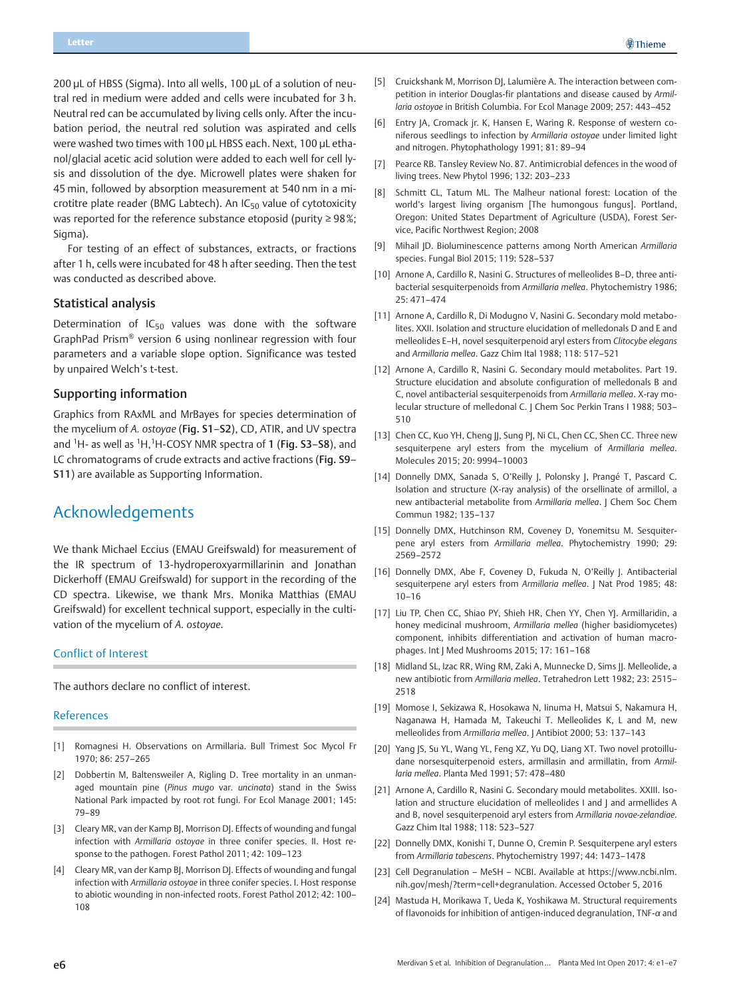200 µL of HBSS (Sigma). Into all wells, 100 µL of a solution of neutral red in medium were added and cells were incubated for 3 h. Neutral red can be accumulated by living cells only. After the incubation period, the neutral red solution was aspirated and cells were washed two times with 100 uL HBSS each. Next, 100 uL ethanol/glacial acetic acid solution were added to each well for cell lysis and dissolution of the dye. Microwell plates were shaken for 45 min, followed by absorption measurement at 540 nm in a microtitre plate reader (BMG Labtech). An  $IC_{50}$  value of cytotoxicity was reported for the reference substance etoposid (purity ≥ 98%; Sigma).

For testing of an effect of substances, extracts, or fractions after 1 h, cells were incubated for 48 h after seeding. Then the test was conducted as described above.

## Statistical analysis

Determination of  $IC_{50}$  values was done with the software GraphPad Prism® version 6 using nonlinear regression with four parameters and a variable slope option. Significance was tested by unpaired Welch's t-test.

## Supporting information

Graphics from RAxML and MrBayes for species determination of the mycelium of A. ostoyae (Fig. S1–S2), CD, ATIR, and UV spectra and <sup>1</sup>H- as well as <sup>1</sup>H,<sup>1</sup>H-COSY NMR spectra of 1 (Fig. S3-S8), and LC chromatograms of crude extracts and active fractions (Fig. S9– S11) are available as Supporting Information.

# Acknowledgements

We thank Michael Eccius (EMAU Greifswald) for measurement of the IR spectrum of 13-hydroperoxyarmillarinin and Jonathan Dickerhoff (EMAU Greifswald) for support in the recording of the CD spectra. Likewise, we thank Mrs. Monika Matthias (EMAU Greifswald) for excellent technical support, especially in the cultivation of the mycelium of A. ostoyae.

### Conflict of Interest

The authors declare no conflict of interest.

### References

- [1] Romagnesi H. Observations on Armillaria. Bull Trimest Soc Mycol Fr 1970; 86: 257–265
- [2] Dobbertin M, Baltensweiler A, Rigling D. Tree mortality in an unmanaged mountain pine (Pinus mugo var. uncinata) stand in the Swiss National Park impacted by root rot fungi. For Ecol Manage 2001; 145: 79–89
- [3] Cleary MR, van der Kamp BJ, Morrison DJ. Effects of wounding and fungal infection with Armillaria ostoyae in three conifer species. II. Host response to the pathogen. Forest Pathol 2011; 42: 109–123
- [4] Cleary MR, van der Kamp BJ, Morrison DJ. Effects of wounding and fungal infection with Armillaria ostoyae in three conifer species. I. Host response to abiotic wounding in non-infected roots. Forest Pathol 2012; 42: 100– 108
- [5] Cruickshank M, Morrison DJ, Lalumière A. The interaction between competition in interior Douglas-fir plantations and disease caused by Armillaria ostoyae in British Columbia. For Ecol Manage 2009; 257: 443–452
- [6] Entry JA, Cromack jr. K, Hansen E, Waring R. Response of western coniferous seedlings to infection by Armillaria ostoyae under limited light and nitrogen. Phytophathology 1991; 81: 89–94
- [7] Pearce RB. Tansley Review No. 87. Antimicrobial defences in the wood of living trees. New Phytol 1996; 132: 203–233
- [8] Schmitt CL, Tatum ML. The Malheur national forest: Location of the world's largest living organism [The humongous fungus]. Portland, Oregon: United States Department of Agriculture (USDA), Forest Service, Pacific Northwest Region; 2008
- [9] Mihail JD. Bioluminescence patterns among North American Armillaria species. Fungal Biol 2015; 119: 528–537
- [10] Arnone A, Cardillo R, Nasini G. Structures of melleolides B-D, three antibacterial sesquiterpenoids from Armillaria mellea. Phytochemistry 1986; 25: 471–474
- [11] Arnone A, Cardillo R, Di Modugno V, Nasini G. Secondary mold metabolites. XXII. Isolation and structure elucidation of melledonals D and E and melleolides E–H, novel sesquiterpenoid aryl esters from Clitocybe elegans and Armillaria mellea. Gazz Chim Ital 1988; 118: 517–521
- [12] Arnone A, Cardillo R, Nasini G. Secondary mould metabolites. Part 19. Structure elucidation and absolute configuration of melledonals B and C, novel antibacterial sesquiterpenoids from Armillaria mellea. X-ray molecular structure of melledonal C. | Chem Soc Perkin Trans | 1988; 503-510
- [13] Chen CC, Kuo YH, Cheng ||, Sung P|, Ni CL, Chen CC, Shen CC. Three new sesquiterpene aryl esters from the mycelium of Armillaria mellea. Molecules 2015; 20: 9994–10003
- [14] Donnelly DMX, Sanada S, O'Reilly J, Polonsky J, Prangé T, Pascard C. Isolation and structure (X‑ray analysis) of the orsellinate of armillol, a new antibacterial metabolite from Armillaria mellea. J Chem Soc Chem Commun 1982; 135–137
- [15] Donnelly DMX, Hutchinson RM, Coveney D, Yonemitsu M. Sesquiterpene aryl esters from Armillaria mellea. Phytochemistry 1990; 29: 2569–2572
- [16] Donnelly DMX, Abe F, Coveney D, Fukuda N, O'Reilly J. Antibacterial sesquiterpene aryl esters from Armillaria mellea. J Nat Prod 1985; 48: 10–16
- [17] Liu TP, Chen CC, Shiao PY, Shieh HR, Chen YY, Chen YJ. Armillaridin, a honey medicinal mushroom, Armillaria mellea (higher basidiomycetes) component, inhibits differentiation and activation of human macrophages. Int J Med Mushrooms 2015; 17: 161–168
- [18] Midland SL, Izac RR, Wing RM, Zaki A, Munnecke D, Sims JJ. Melleolide, a new antibiotic from Armillaria mellea. Tetrahedron Lett 1982; 23: 2515– 2518
- [19] Momose I, Sekizawa R, Hosokawa N, Iinuma H, Matsui S, Nakamura H, Naganawa H, Hamada M, Takeuchi T. Melleolides K, L and M, new melleolides from Armillaria mellea. J Antibiot 2000; 53: 137–143
- [20] Yang JS, Su YL, Wang YL, Feng XZ, Yu DQ, Liang XT. Two novel protoilludane norsesquiterpenoid esters, armillasin and armillatin, from Armillaria mellea. Planta Med 1991; 57: 478–480
- [21] Arnone A, Cardillo R, Nasini G. Secondary mould metabolites. XXIII. Isolation and structure elucidation of melleolides I and J and armellides A and B, novel sesquiterpenoid aryl esters from Armillaria novae-zelandiae. Gazz Chim Ital 1988; 118: 523–527
- [22] Donnelly DMX, Konishi T, Dunne O, Cremin P. Sesquiterpene aryl esters from Armillaria tabescens. Phytochemistry 1997; 44: 1473–1478
- [23] Cell Degranulation MeSH NCBI. Available at https://www.ncbi.nlm. nih.gov/mesh/?term=cell+degranulation. Accessed October 5, 2016
- [24] Mastuda H, Morikawa T, Ueda K, Yoshikawa M. Structural requirements of flavonoids for inhibition of antigen-induced degranulation, TNF-α and